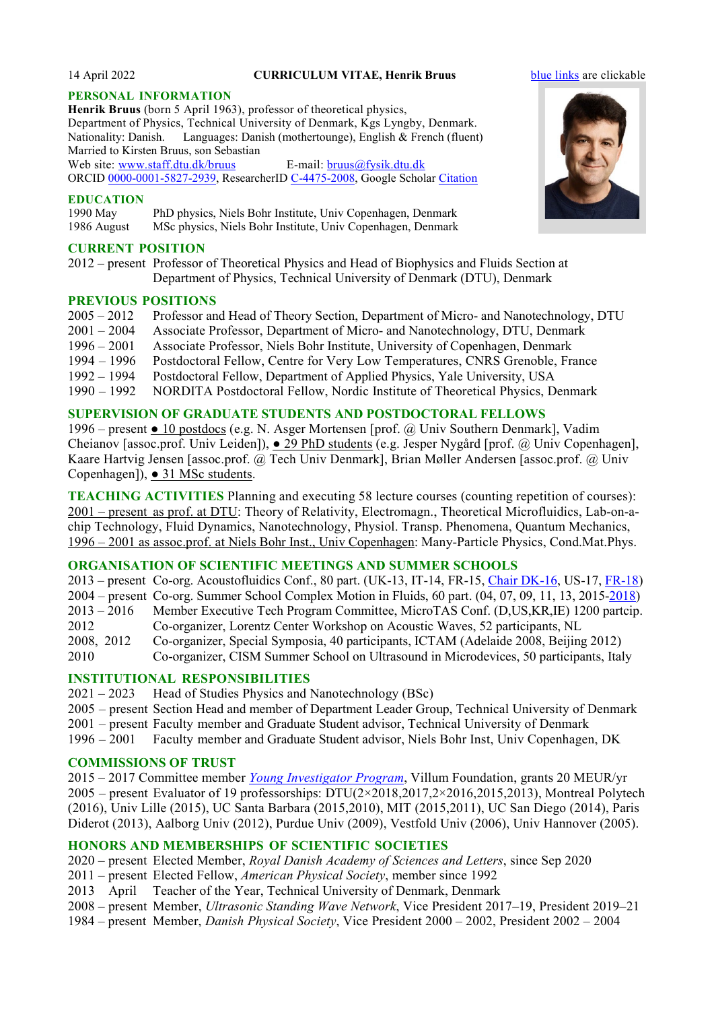#### 14 April 2022 **CURRICULUM VITAE, Henrik Bruus** [blue links](http://www.staff.dtu.dk/bruus) are clickable

#### **PERSONAL INFORMATION**

**Henrik Bruus** (born 5 April 1963), professor of theoretical physics, Department of Physics, Technical University of Denmark, Kgs Lyngby, Denmark. Nationality: Danish. Languages: Danish (mothertounge), English & French (fluent) Married to Kirsten Bruus, son Sebastian Web site: [www.staff.dtu.dk/bruus](http://www.staff.dtu.dk/bruus) E-mail: [bruus@fysik.dtu.dk](mailto:bruus@fysik.dtu.dk)

ORCID [0000-0001-5827-2939,](http://orcid.org/0000-0001-5827-2939) ResearcherID [C-4475-2008,](http://www.researcherid.com/rid/C-4475-2008) Google Scholar [Citation](https://scholar.google.com/citations?user=kN7cmGUAAAAJ)

#### **EDUCATION**

1990 May PhD physics, Niels Bohr Institute, Univ Copenhagen, Denmark 1986 August MSc physics, Niels Bohr Institute, Univ Copenhagen, Denmark

#### **CURRENT POSITION**

2012 – present Professor of Theoretical Physics and Head of Biophysics and Fluids Section at Department of Physics, Technical University of Denmark (DTU), Denmark

#### **PREVIOUS POSITIONS**

2005 – 2012 Professor and Head of Theory Section, Department of Micro- and Nanotechnology, DTU 2001 – 2004 Associate Professor, Department of Micro- and Nanotechnology, DTU, Denmark 1996 – 2001 Associate Professor, Niels Bohr Institute, University of Copenhagen, Denmark 1994 – 1996 Postdoctoral Fellow, Centre for Very Low Temperatures, CNRS Grenoble, France Postdoctoral Fellow, Department of Applied Physics, Yale University, USA 1990 – 1992 NORDITA Postdoctoral Fellow, Nordic Institute of Theoretical Physics, Denmark

# **SUPERVISION OF GRADUATE STUDENTS AND POSTDOCTORAL FELLOWS**

1996 – present ● 10 postdocs (e.g. N. Asger Mortensen [prof. @ Univ Southern Denmark], Vadim Cheianov [assoc.prof. Univ Leiden]), ● 29 PhD students (e.g. Jesper Nygård [prof. @ Univ Copenhagen], Kaare Hartvig Jensen [assoc.prof. @ Tech Univ Denmark], Brian Møller Andersen [assoc.prof. @ Univ Copenhagen]), ● 31 MSc students.

**TEACHING ACTIVITIES** Planning and executing 58 lecture courses (counting repetition of courses): 2001 – present as prof. at DTU: Theory of Relativity, Electromagn., Theoretical Microfluidics, Lab-on-achip Technology, Fluid Dynamics, Nanotechnology, Physiol. Transp. Phenomena, Quantum Mechanics, 1996 – 2001 as assoc.prof. at Niels Bohr Inst., Univ Copenhagen: Many-Particle Physics, Cond.Mat.Phys.

### **ORGANISATION OF SCIENTIFIC MEETINGS AND SUMMER SCHOOLS**

2013 – present Co-org. Acoustofluidics Conf., 80 part. (UK-13, IT-14, FR-15, [Chair DK-16,](http://www.fysik.dtu.dk/acoustofluidics2016) US-17, [FR-18\)](https://cbmsociety.org/conferences/acoustofluidics18/) 2004 – present Co-org. Summer School Complex Motion in Fluids, 60 part. (04, 07, 09, 11, 13, 2015[-2018\)](https://yakari.polytechnique.fr/cmif2018) 2013 – 2016 Member Executive Tech Program Committee, MicroTAS Conf. (D,US,KR,IE) 1200 partcip. 2012 Co-organizer, Lorentz Center Workshop on Acoustic Waves, 52 participants, NL<br>2008, 2012 Co-organizer, Special Symposia, 40 participants, ICTAM (Adelaide 2008, Beijing 2008, 2012 Co-organizer, Special Symposia, 40 participants, ICTAM (Adelaide 2008, Beijing 2012) 2010 Co-organizer, CISM Summer School on Ultrasound in Microdevices, 50 participants, Italy

### **INSTITUTIONAL RESPONSIBILITIES**

 $2021 - 2023$  Head of Studies Physics and Nanotechnology (BSc)

- 2005 present Section Head and member of Department Leader Group, Technical University of Denmark
- 2001 present Faculty member and Graduate Student advisor, Technical University of Denmark
- 1996 2001 Faculty member and Graduate Student advisor, Niels Bohr Inst, Univ Copenhagen, DK

#### **COMMISSIONS OF TRUST**

2015 – 2017 Committee member *[Young Investigator Program](http://veluxfoundations.dk/en/call-villum-young-investigators-0)*, Villum Foundation, grants 20 MEUR/yr 2005 – present Evaluator of 19 professorships: DTU(2×2018,2017,2×2016,2015,2013), Montreal Polytech (2016), Univ Lille (2015), UC Santa Barbara (2015,2010), MIT (2015,2011), UC San Diego (2014), Paris Diderot (2013), Aalborg Univ (2012), Purdue Univ (2009), Vestfold Univ (2006), Univ Hannover (2005).

### **HONORS AND MEMBERSHIPS OF SCIENTIFIC SOCIETIES**

- 2020 present Elected Member, *Royal Danish Academy of Sciences and Letters*, since Sep 2020
- 2011 present Elected Fellow, *American Physical Society*, member since 1992
- 2013 April Teacher of the Year, Technical University of Denmark, Denmark
- 2008 present Member, *Ultrasonic Standing Wave Network*, Vice President 2017–19, President 2019–21
- 1984 present Member, *Danish Physical Society*, Vice President 2000 2002, President 2002 2004

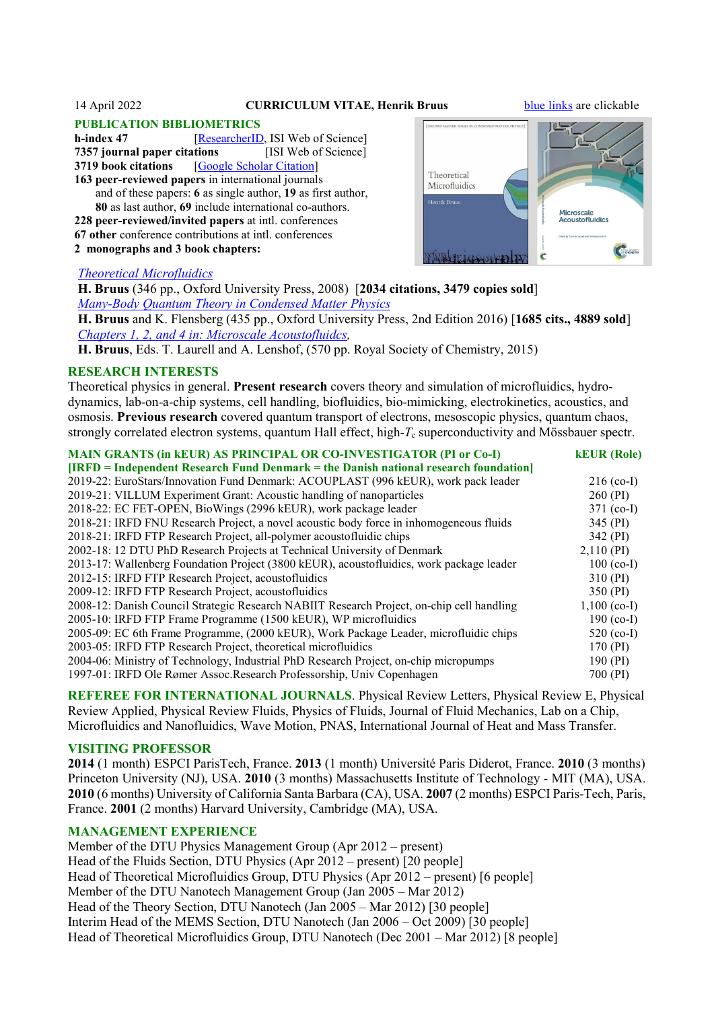#### 14 April 2022 **CURRICULUM VITAE, Henrik Bruus** [blue links](http://www.staff.dtu.dk/bruus) are clickable

# **PUBLICATION BIBLIOMETRICS**<br>**h-index 47 IResearcherID**

[\[ResearcherID,](http://www.researcherid.com/rid/C-4475-2008) ISI Web of Science]<br>**htions** [ISI Web of Science] **7357** journal paper citations **3719 book citations** [\[Google Scholar Citation\]](https://scholar.google.com/citations?user=kN7cmGUAAAAJ)

**163 peer-reviewed papers** in international journals and of these papers: **6** as single author, **19** as first author, **80** as last author, **69** include international co-authors. **228 peer-reviewed/invited papers** at intl. conferences

**67 other** conference contributions at intl. conferences

**2 monographs and 3 book chapters:**



#### *[Theoretical Microfluidics](https://global.oup.com/academic/product/theoretical-microfluidics-9780199235094?q=bruus&lang=en&cc=dk)*

 **H. Bruus** (346 pp., Oxford University Press, 2008) [**2034 citations, 3479 copies sold**] *[Many-Body Quantum Theory in Condensed Matter Physics](https://global.oup.com/academic/product/many-body-quantum-theory-in-condensed-matter-physics-9780198566335?q=bruus&lang=en&cc=dk)*

 **H. Bruus** and K. Flensberg (435 pp., Oxford University Press, 2nd Edition 2016) [**1685 cits., 4889 sold**] *[Chapters 1, 2, and 4 in: Microscale Acoustofluidcs,](http://dx.doi.org/10.1039/9781849737067-FP001)*

**H. Bruus**, Eds. T. Laurell and A. Lenshof, (570 pp. Royal Society of Chemistry, 2015)

#### **RESEARCH INTERESTS**

Theoretical physics in general. **Present research** covers theory and simulation of microfluidics, hydrodynamics, lab-on-a-chip systems, cell handling, biofluidics, bio-mimicking, electrokinetics, acoustics, and osmosis. **Previous research** covered quantum transport of electrons, mesoscopic physics, quantum chaos, strongly correlated electron systems, quantum Hall effect, high-*T<sub>c</sub>* superconductivity and Mössbauer spectr.

| <b>MAIN GRANTS (in kEUR) AS PRINCIPAL OR CO-INVESTIGATOR (PI or Co-I)</b>                 | <b>kEUR</b> (Role) |
|-------------------------------------------------------------------------------------------|--------------------|
| $[IRFD]$ = Independent Research Fund Denmark = the Danish national research foundation    |                    |
| 2019-22: EuroStars/Innovation Fund Denmark: ACOUPLAST (996 kEUR), work pack leader        | $216$ (co-I)       |
| 2019-21: VILLUM Experiment Grant: Acoustic handling of nanoparticles                      | 260 (PI)           |
| 2018-22: EC FET-OPEN, BioWings (2996 kEUR), work package leader                           | $371$ (co-I)       |
| 2018-21: IRFD FNU Research Project, a novel acoustic body force in inhomogeneous fluids   | 345 (PI)           |
| 2018-21: IRFD FTP Research Project, all-polymer acoustofluidic chips                      | 342 (PI)           |
| 2002-18: 12 DTU PhD Research Projects at Technical University of Denmark                  | 2,110(PI)          |
| 2013-17: Wallenberg Foundation Project (3800 kEUR), acoustofluidics, work package leader  | $100$ (co-I)       |
| 2012-15: IRFD FTP Research Project, acoustofluidics                                       | 310 (PI)           |
| 2009-12: IRFD FTP Research Project, acoustofluidics                                       | 350 (PI)           |
| 2008-12: Danish Council Strategic Research NABIIT Research Project, on-chip cell handling | $1,100$ (co-I)     |
| 2005-10: IRFD FTP Frame Programme (1500 kEUR), WP microfluidics                           | 190 $(co-I)$       |
| 2005-09: EC 6th Frame Programme, (2000 kEUR), Work Package Leader, microfluidic chips     | 520 $(co-I)$       |
| 2003-05: IRFD FTP Research Project, theoretical microfluidics                             | 170 (PI)           |
| 2004-06: Ministry of Technology, Industrial PhD Research Project, on-chip micropumps      | 190 (PI)           |
| 1997-01: IRFD Ole Rømer Assoc. Research Professorship, Univ Copenhagen                    | 700 (PI)           |

**REFEREE FOR INTERNATIONAL JOURNALS**. Physical Review Letters, Physical Review E, Physical Review Applied, Physical Review Fluids, Physics of Fluids, Journal of Fluid Mechanics, Lab on a Chip, Microfluidics and Nanofluidics, Wave Motion, PNAS, International Journal of Heat and Mass Transfer.

#### **VISITING PROFESSOR**

**2014** (1 month) ESPCI ParisTech, France. **2013** (1 month) Université Paris Diderot, France. **2010** (3 months) Princeton University (NJ), USA. **2010** (3 months) Massachusetts Institute of Technology - MIT (MA), USA. **2010** (6 months) University of California Santa Barbara (CA), USA. **2007** (2 months) ESPCI Paris-Tech, Paris, France. **2001** (2 months) Harvard University, Cambridge (MA), USA.

### **MANAGEMENT EXPERIENCE**

Member of the DTU Physics Management Group (Apr 2012 – present) Head of the Fluids Section, DTU Physics (Apr 2012 – present) [20 people] Head of Theoretical Microfluidics Group, DTU Physics (Apr 2012 – present) [6 people] Member of the DTU Nanotech Management Group (Jan 2005 – Mar 2012) Head of the Theory Section, DTU Nanotech (Jan 2005 – Mar 2012) [30 people] Interim Head of the MEMS Section, DTU Nanotech (Jan 2006 – Oct 2009) [30 people] Head of Theoretical Microfluidics Group, DTU Nanotech (Dec 2001 – Mar 2012) [8 people]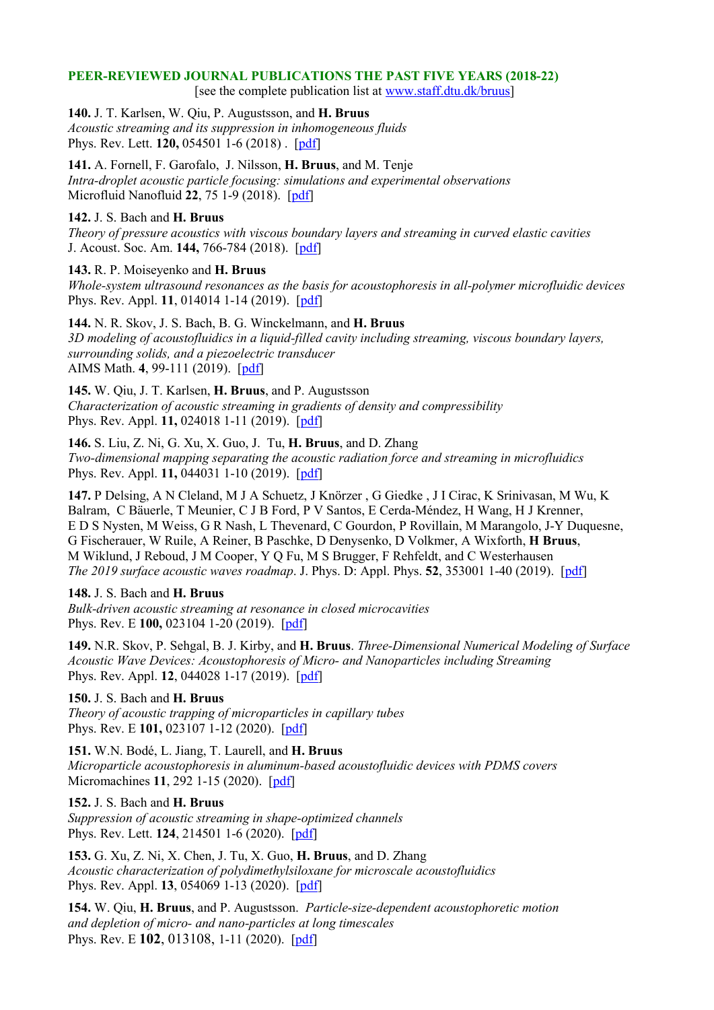### **PEER-REVIEWED JOURNAL PUBLICATIONS THE PAST FIVE YEARS (2018-22)**

[see the complete publication list at [www.staff.dtu.dk/bruus\]](http://www.staff.dtu.dk/bruus)

**140.** J. T. Karlsen, W. Qiu, P. Augustsson, and **H. Bruus**

*Acoustic streaming and its suppression in inhomogeneous fluids* Phys. Rev. Lett. **120,** 054501 1-6 (2018) .[\[pdf\]](http://bruus-lab.dk/TMF/publications/Bruus/Bruus_140.pdf)

**141.** A. Fornell, F. Garofalo, J. Nilsson, **H. Bruus**, and M. Tenje *Intra-droplet acoustic particle focusing: simulations and experimental observations* Microfluid Nanofluid **22**, 75 1-9 (2018). [\[pdf\]](http://bruus-lab.dk/TMF/publications/Bruus/Bruus_141.pdf)

### **142.** J. S. Bach and **H. Bruus**

*Theory of pressure acoustics with viscous boundary layers and streaming in curved elastic cavities* J. Acoust. Soc. Am. **144,** 766-784 (2018). [\[pdf\]](http://bruus-lab.dk/TMF/publications/Bruus/Bruus_142.pdf)

### **143.** R. P. Moiseyenko and **H. Bruus**

*Whole-system ultrasound resonances as the basis for acoustophoresis in all-polymer microfluidic devices* Phys. Rev. Appl. **11**, 014014 1-14 (2019). [\[pdf\]](http://bruus-lab.dk/TMF/publications/Bruus/Bruus_143.pdf)

**144.** N. R. Skov, J. S. Bach, B. G. Winckelmann, and **H. Bruus** *3D modeling of acoustofluidics in a liquid-filled cavity including streaming, viscous boundary layers, surrounding solids, and a piezoelectric transducer* AIMS Math. **4**, 99-111 (2019). [\[pdf\]](http://bruus-lab.dk/TMF/publications/Bruus/Bruus_144.pdf)

**145.** W. Qiu, J. T. Karlsen, **H. Bruus**, and P. Augustsson *Characterization of acoustic streaming in gradients of density and compressibility* Phys. Rev. Appl. **11,** 024018 1-11 (2019). [\[pdf\]](http://bruus-lab.dk/TMF/publications/Bruus/Bruus_145.pdf)

**146.** S. Liu, Z. Ni, G. Xu, X. Guo, J. Tu, **H. Bruus**, and D. Zhang *Two-dimensional mapping separating the acoustic radiation force and streaming in microfluidics*  Phys. Rev. Appl. **11,** 044031 1-10 (2019). [\[pdf\]](http://bruus-lab.dk/TMF/publications/Bruus/Bruus_146.pdf)

**147.** P Delsing, A N Cleland, M J A Schuetz, J Knörzer , G Giedke , J I Cirac, K Srinivasan, M Wu, K Balram, C Bäuerle, T Meunier, C J B Ford, P V Santos, E Cerda-Méndez, H Wang, H J Krenner, E D S Nysten, M Weiss, G R Nash, L Thevenard, C Gourdon, P Rovillain, M Marangolo, J-Y Duquesne, G Fischerauer, W Ruile, A Reiner, B Paschke, D Denysenko, D Volkmer, A Wixforth, **H Bruus**, M Wiklund, J Reboud, J M Cooper, Y Q Fu, M S Brugger, F Rehfeldt, and C Westerhausen *The 2019 surface acoustic waves roadmap*. J. Phys. D: Appl. Phys. **52**, 353001 1-40 (2019). [\[pdf\]](http://bruus-lab.dk/TMF/publications/Bruus/Bruus_147.pdf)

### **148.** J. S. Bach and **H. Bruus**

*Bulk-driven acoustic streaming at resonance in closed microcavities*  Phys. Rev. E **100,** 023104 1-20 (2019). [\[pdf\]](http://bruus-lab.dk/TMF/publications/Bruus/Bruus_148.pdf)

**149.** N.R. Skov, P. Sehgal, B. J. Kirby, and **H. Bruus**. *Three-Dimensional Numerical Modeling of Surface Acoustic Wave Devices: Acoustophoresis of Micro- and Nanoparticles including Streaming*  Phys. Rev. Appl. **12**, 044028 1-17 (2019).[\[pdf\]](http://bruus-lab.dk/TMF/publications/Bruus/Bruus_149.pdf)

# **150.** J. S. Bach and **H. Bruus**

*Theory of acoustic trapping of microparticles in capillary tubes* Phys. Rev. E **101,** 023107 1-12 (2020).[\[pdf\]](http://bruus-lab.dk/TMF/publications/Bruus/Bruus_150.pdf)

**151.** W.N. Bodé, L. Jiang, T. Laurell, and **H. Bruus** *Microparticle acoustophoresis in aluminum-based acoustofluidic devices with PDMS covers* Micromachines **11**, 292 1-15 (2020).[\[pdf\]](http://bruus-lab.dk/TMF/publications/Bruus/Bruus_151.pdf)

# **152.** J. S. Bach and **H. Bruus**

*Suppression of acoustic streaming in shape-optimized channels* Phys. Rev. Lett. **124**, 214501 1-6 (2020). [\[pdf\]](http://bruus-lab.dk/TMF/publications/Bruus/Bruus_152.pdf)

**153.** G. Xu, Z. Ni, X. Chen, J. Tu, X. Guo, **H. Bruus**, and D. Zhang *Acoustic characterization of polydimethylsiloxane for microscale acoustofluidics* Phys. Rev. Appl. **13**, 054069 1-13 (2020). [\[pdf\]](http://bruus-lab.dk/TMF/publications/Bruus/Bruus_153.pdf)

**154.** W. Qiu, **H. Bruus**, and P. Augustsson. *Particle-size-dependent acoustophoretic motion and depletion of micro- and nano-particles at long timescales* Phys. Rev. E **102**, 013108, 1-11 (2020). [\[pdf\]](http://bruus-lab.dk/TMF/publications/Bruus/Bruus_154.pdf)